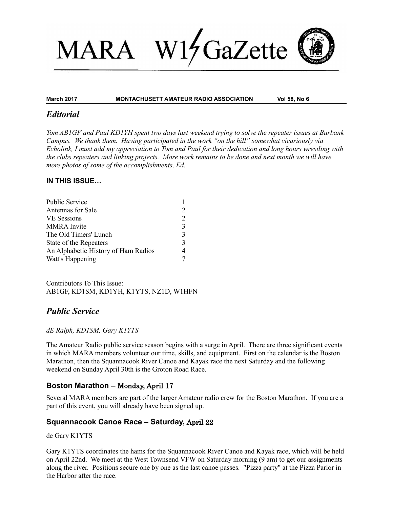# W17 GaZette **MARA**

#### **March 2017 MONTACHUSETT AMATEUR RADIO ASSOCIATION Vol 58, No 6**

## *Editorial*

*Tom AB1GF and Paul KD1YH spent two days last weekend trying to solve the repeater issues at Burbank Campus. We thank them. Having participated in the work "on the hill" somewhat vicariously via Echolink, I must add my appreciation to Tom and Paul for their dedication and long hours wrestling with the clubs repeaters and linking projects. More work remains to be done and next month we will have more photos of some of the accomplishments, Ed.* 

## **IN THIS ISSUE…**

| Public Service                      |               |
|-------------------------------------|---------------|
| Antennas for Sale                   |               |
| <b>VE</b> Sessions                  |               |
| <b>MMRA</b> Invite                  | $\mathbf{c}$  |
| The Old Timers' Lunch               | $\mathbf{c}$  |
| State of the Repeaters              | $\mathcal{R}$ |
| An Alphabetic History of Ham Radios |               |
| Watt's Happening                    |               |

Contributors To This Issue: AB1GF, KD1SM, KD1YH, K1YTS, NZ1D, W1HFN

# *Public Service*

## *dE Ralph, KD1SM, Gary K1YTS*

The Amateur Radio public service season begins with a surge in April. There are three significant events in which MARA members volunteer our time, skills, and equipment. First on the calendar is the Boston Marathon, then the Squannacook River Canoe and Kayak race the next Saturday and the following weekend on Sunday April 30th is the Groton Road Race.

## **Boston Marathon –** Monday, April 17

Several MARA members are part of the larger Amateur radio crew for the Boston Marathon. If you are a part of this event, you will already have been signed up.

# **Squannacook Canoe Race – Saturday,** April 22

de Gary K1YTS

Gary K1YTS coordinates the hams for the Squannacook River Canoe and Kayak race, which will be held on April 22nd. We meet at the West Townsend VFW on Saturday morning (9 am) to get our assignments along the river. Positions secure one by one as the last canoe passes. "Pizza party" at the Pizza Parlor in the Harbor after the race.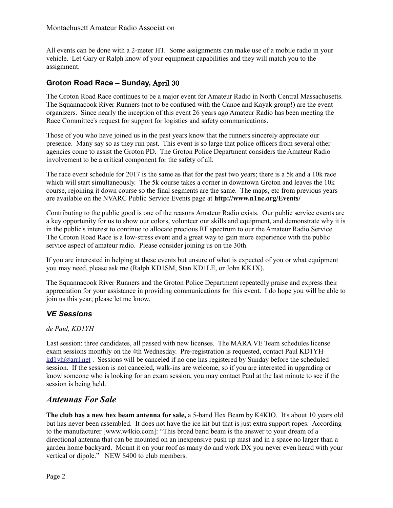All events can be done with a 2-meter HT. Some assignments can make use of a mobile radio in your vehicle. Let Gary or Ralph know of your equipment capabilities and they will match you to the assignment.

# **Groton Road Race – Sunday,** April 30

The Groton Road Race continues to be a major event for Amateur Radio in North Central Massachusetts. The Squannacook River Runners (not to be confused with the Canoe and Kayak group!) are the event organizers. Since nearly the inception of this event 26 years ago Amateur Radio has been meeting the Race Committee's request for support for logistics and safety communications.

Those of you who have joined us in the past years know that the runners sincerely appreciate our presence. Many say so as they run past. This event is so large that police officers from several other agencies come to assist the Groton PD. The Groton Police Department considers the Amateur Radio involvement to be a critical component for the safety of all.

The race event schedule for 2017 is the same as that for the past two years; there is a 5k and a 10k race which will start simultaneously. The 5k course takes a corner in downtown Groton and leaves the 10k course, rejoining it down course so the final segments are the same. The maps, etc from previous years are available on the NVARC Public Service Events page at **http://www.n1nc.org/Events/**

Contributing to the public good is one of the reasons Amateur Radio exists. Our public service events are a key opportunity for us to show our colors, volunteer our skills and equipment, and demonstrate why it is in the public's interest to continue to allocate precious RF spectrum to our the Amateur Radio Service. The Groton Road Race is a low-stress event and a great way to gain more experience with the public service aspect of amateur radio. Please consider joining us on the 30th.

If you are interested in helping at these events but unsure of what is expected of you or what equipment you may need, please ask me (Ralph KD1SM, Stan KD1LE, or John KK1X).

The Squannacook River Runners and the Groton Police Department repeatedly praise and express their appreciation for your assistance in providing communications for this event. I do hope you will be able to join us this year; please let me know.

# *VE Sessions*

## *de Paul, KD1YH*

Last session: three candidates, all passed with new licenses. The MARA VE Team schedules license exam sessions monthly on the 4th Wednesday. Pre-registration is requested, contact Paul KD1YH  $kd1yh@arrl.net$ . Sessions will be canceled if no one has registered by Sunday before the scheduled session. If the session is not canceled, walk-ins are welcome, so if you are interested in upgrading or know someone who is looking for an exam session, you may contact Paul at the last minute to see if the session is being held.

# *Antennas For Sale*

**The club has a new hex beam antenna for sale,** a 5-band Hex Beam by K4KIO. It's about 10 years old but has never been assembled. It does not have the ice kit but that is just extra support ropes. According to the manufacturer [www.w4kio.com]: "This broad band beam is the answer to your dream of a directional antenna that can be mounted on an inexpensive push up mast and in a space no larger than a garden home backyard. Mount it on your roof as many do and work DX you never even heard with your vertical or dipole." NEW \$400 to club members.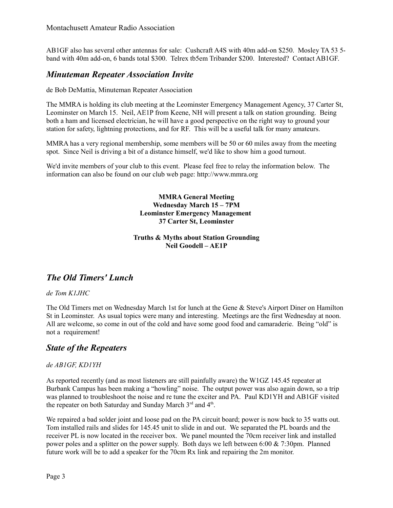AB1GF also has several other antennas for sale: Cushcraft A4S with 40m add-on \$250. Mosley TA 53 5 band with 40m add-on, 6 bands total \$300. Telrex tb5em Tribander \$200. Interested? Contact AB1GF.

# *Minuteman Repeater Association Invite*

de Bob DeMattia, Minuteman Repeater Association

The MMRA is holding its club meeting at the Leominster Emergency Management Agency, 37 Carter St, Leominster on March 15. Neil, AE1P from Keene, NH will present a talk on station grounding. Being both a ham and licensed electrician, he will have a good perspective on the right way to ground your station for safety, lightning protections, and for RF. This will be a useful talk for many amateurs.

MMRA has a very regional membership, some members will be 50 or 60 miles away from the meeting spot. Since Neil is driving a bit of a distance himself, we'd like to show him a good turnout.

We'd invite members of your club to this event. Please feel free to relay the information below. The information can also be found on our club web page: http://www.mmra.org

> **MMRA General Meeting Wednesday March 15 – 7PM Leominster Emergency Management 37 Carter St, Leominster**

## **Truths & Myths about Station Grounding Neil Goodell – AE1P**

# *The Old Timers' Lunch*

## *de Tom K1JHC*

The Old Timers met on Wednesday March 1st for lunch at the Gene & Steve's Airport Diner on Hamilton St in Leominster. As usual topics were many and interesting. Meetings are the first Wednesday at noon. All are welcome, so come in out of the cold and have some good food and camaraderie. Being "old" is not a requirement!

# *State of the Repeaters*

## *de AB1GF, KD1YH*

As reported recently (and as most listeners are still painfully aware) the W1GZ 145.45 repeater at Burbank Campus has been making a "howling" noise. The output power was also again down, so a trip was planned to troubleshoot the noise and re tune the exciter and PA. Paul KD1YH and AB1GF visited the repeater on both Saturday and Sunday March 3rd and 4<sup>th</sup>.

We repaired a bad solder joint and loose pad on the PA circuit board; power is now back to 35 watts out. Tom installed rails and slides for 145.45 unit to slide in and out. We separated the PL boards and the receiver PL is now located in the receiver box. We panel mounted the 70cm receiver link and installed power poles and a splitter on the power supply. Both days we left between 6:00 & 7:30pm. Planned future work will be to add a speaker for the 70cm Rx link and repairing the 2m monitor.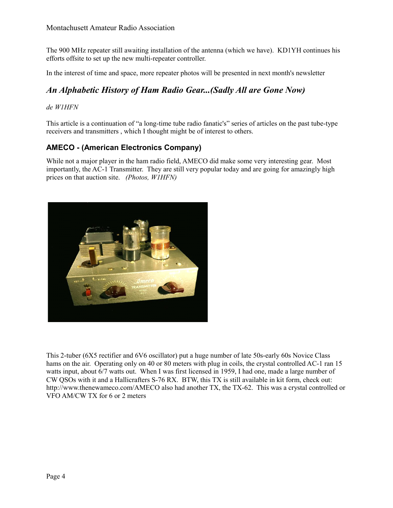The 900 MHz repeater still awaiting installation of the antenna (which we have). KD1YH continues his efforts offsite to set up the new multi-repeater controller.

In the interest of time and space, more repeater photos will be presented in next month's newsletter

# *An Alphabetic History of Ham Radio Gear...(Sadly All are Gone Now)*

## *de W1HFN*

This article is a continuation of "a long-time tube radio fanatic's" series of articles on the past tube-type receivers and transmitters , which I thought might be of interest to others.

# **AMECO - (American Electronics Company)**

While not a major player in the ham radio field, AMECO did make some very interesting gear. Most importantly, the AC-1 Transmitter. They are still very popular today and are going for amazingly high prices on that auction site. *(Photos, W1HFN)*



This 2-tuber (6X5 rectifier and 6V6 oscillator) put a huge number of late 50s-early 60s Novice Class hams on the air. Operating only on 40 or 80 meters with plug in coils, the crystal controlled AC-1 ran 15 watts input, about 6/7 watts out. When I was first licensed in 1959, I had one, made a large number of CW QSOs with it and a Hallicrafters S-76 RX. BTW, this TX is still available in kit form, check out: http://www.thenewameco.com/AMECO also had another TX, the TX-62. This was a crystal controlled or VFO AM/CW TX for 6 or 2 meters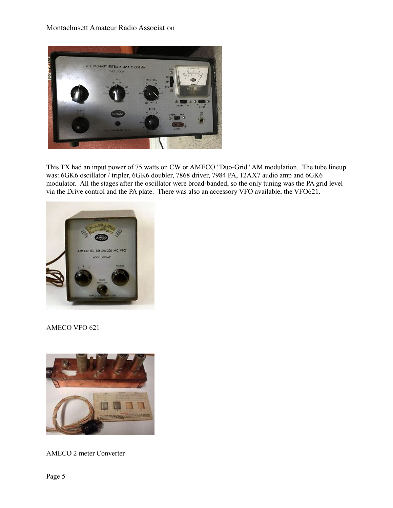## Montachusett Amateur Radio Association



This TX had an input power of 75 watts on CW or AMECO "Duo-Grid" AM modulation. The tube lineup was: 6GK6 oscillator / tripler, 6GK6 doubler, 7868 driver, 7984 PA, 12AX7 audio amp and 6GK6 modulator. All the stages after the oscillator were broad-banded, so the only tuning was the PA grid level via the Drive control and the PA plate. There was also an accessory VFO available, the VFO621.



## AMECO VFO 621



AMECO 2 meter Converter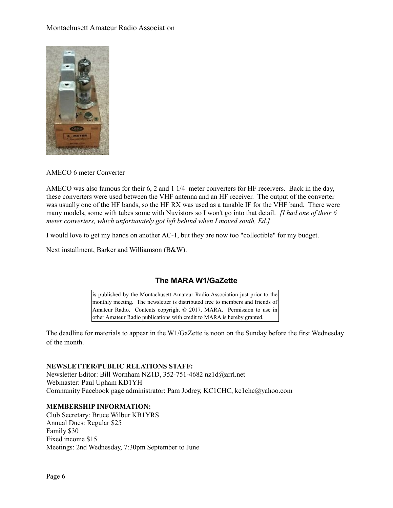## Montachusett Amateur Radio Association



## AMECO 6 meter Converter

AMECO was also famous for their 6, 2 and 1 1/4 meter converters for HF receivers. Back in the day, these converters were used between the VHF antenna and an HF receiver. The output of the converter was usually one of the HF bands, so the HF RX was used as a tunable IF for the VHF band. There were many models, some with tubes some with Nuvistors so I won't go into that detail. *[I had one of their 6 meter converters, which unfortunately got left behind when I moved south, Ed.]*

I would love to get my hands on another AC-1, but they are now too "collectible" for my budget.

Next installment, Barker and Williamson (B&W).

# **The MARA W1/GaZette**

is published by the Montachusett Amateur Radio Association just prior to the monthly meeting. The newsletter is distributed free to members and friends of Amateur Radio. Contents copyright © 2017, MARA. Permission to use in other Amateur Radio publications with credit to MARA is hereby granted.

The deadline for materials to appear in the W1/GaZette is noon on the Sunday before the first Wednesday of the month.

#### **NEWSLETTER/PUBLIC RELATIONS STAFF:**

Newsletter Editor: Bill Wornham NZ1D, 352-751-4682 nz1d@arrl.net Webmaster: Paul Upham KD1YH Community Facebook page administrator: Pam Jodrey, KC1CHC, kc1chc@yahoo.com

## **MEMBERSHIP INFORMATION:**

Club Secretary: Bruce Wilbur KB1YRS Annual Dues: Regular \$25 Family \$30 Fixed income \$15 Meetings: 2nd Wednesday, 7:30pm September to June